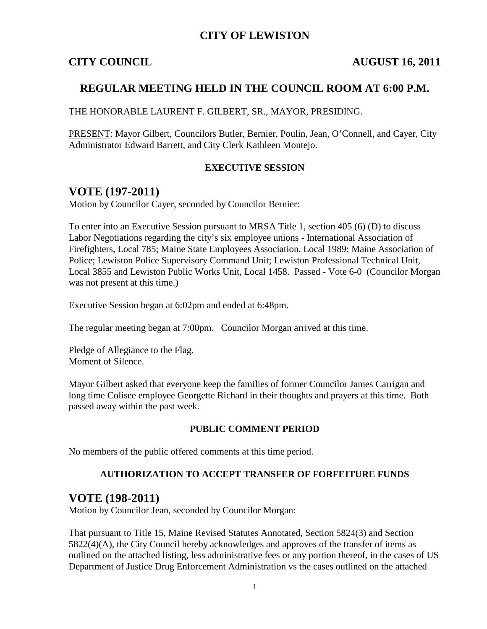### **CITY OF LEWISTON**

#### **CITY COUNCIL AUGUST 16, 2011**

### **REGULAR MEETING HELD IN THE COUNCIL ROOM AT 6:00 P.M.**

THE HONORABLE LAURENT F. GILBERT, SR., MAYOR, PRESIDING.

PRESENT: Mayor Gilbert, Councilors Butler, Bernier, Poulin, Jean, O'Connell, and Cayer, City Administrator Edward Barrett, and City Clerk Kathleen Montejo.

#### **EXECUTIVE SESSION**

## **VOTE (197-2011)**

Motion by Councilor Cayer, seconded by Councilor Bernier:

To enter into an Executive Session pursuant to MRSA Title 1, section 405 (6) (D) to discuss Labor Negotiations regarding the city's six employee unions - International Association of Firefighters, Local 785; Maine State Employees Association, Local 1989; Maine Association of Police; Lewiston Police Supervisory Command Unit; Lewiston Professional Technical Unit, Local 3855 and Lewiston Public Works Unit, Local 1458. Passed - Vote 6-0 (Councilor Morgan was not present at this time.)

Executive Session began at 6:02pm and ended at 6:48pm.

The regular meeting began at 7:00pm. Councilor Morgan arrived at this time.

Pledge of Allegiance to the Flag. Moment of Silence.

Mayor Gilbert asked that everyone keep the families of former Councilor James Carrigan and long time Colisee employee Georgette Richard in their thoughts and prayers at this time. Both passed away within the past week.

#### **PUBLIC COMMENT PERIOD**

No members of the public offered comments at this time period.

#### **AUTHORIZATION TO ACCEPT TRANSFER OF FORFEITURE FUNDS**

#### **VOTE (198-2011)**

Motion by Councilor Jean, seconded by Councilor Morgan:

That pursuant to Title 15, Maine Revised Statutes Annotated, Section 5824(3) and Section 5822(4)(A), the City Council hereby acknowledges and approves of the transfer of items as outlined on the attached listing, less administrative fees or any portion thereof, in the cases of US Department of Justice Drug Enforcement Administration vs the cases outlined on the attached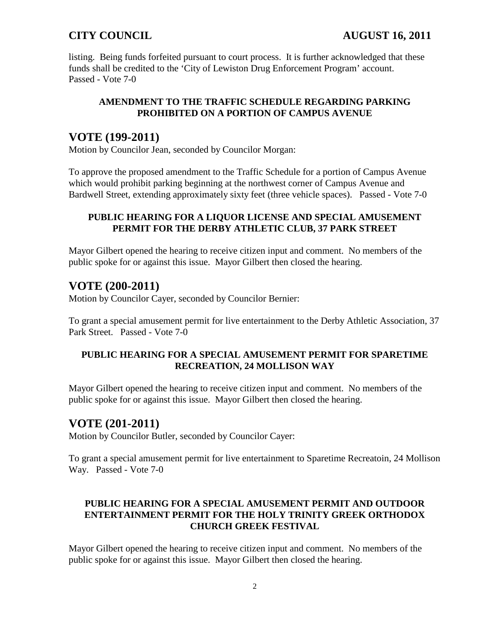listing. Being funds forfeited pursuant to court process. It is further acknowledged that these funds shall be credited to the 'City of Lewiston Drug Enforcement Program' account. Passed - Vote 7-0

#### **AMENDMENT TO THE TRAFFIC SCHEDULE REGARDING PARKING PROHIBITED ON A PORTION OF CAMPUS AVENUE**

# **VOTE (199-2011)**

Motion by Councilor Jean, seconded by Councilor Morgan:

To approve the proposed amendment to the Traffic Schedule for a portion of Campus Avenue which would prohibit parking beginning at the northwest corner of Campus Avenue and Bardwell Street, extending approximately sixty feet (three vehicle spaces). Passed - Vote 7-0

#### **PUBLIC HEARING FOR A LIQUOR LICENSE AND SPECIAL AMUSEMENT PERMIT FOR THE DERBY ATHLETIC CLUB, 37 PARK STREET**

Mayor Gilbert opened the hearing to receive citizen input and comment. No members of the public spoke for or against this issue. Mayor Gilbert then closed the hearing.

# **VOTE (200-2011)**

Motion by Councilor Cayer, seconded by Councilor Bernier:

To grant a special amusement permit for live entertainment to the Derby Athletic Association, 37 Park Street. Passed - Vote 7-0

### **PUBLIC HEARING FOR A SPECIAL AMUSEMENT PERMIT FOR SPARETIME RECREATION, 24 MOLLISON WAY**

Mayor Gilbert opened the hearing to receive citizen input and comment. No members of the public spoke for or against this issue. Mayor Gilbert then closed the hearing.

# **VOTE (201-2011)**

Motion by Councilor Butler, seconded by Councilor Cayer:

To grant a special amusement permit for live entertainment to Sparetime Recreatoin, 24 Mollison Way. Passed - Vote 7-0

### **PUBLIC HEARING FOR A SPECIAL AMUSEMENT PERMIT AND OUTDOOR ENTERTAINMENT PERMIT FOR THE HOLY TRINITY GREEK ORTHODOX CHURCH GREEK FESTIVAL**

Mayor Gilbert opened the hearing to receive citizen input and comment. No members of the public spoke for or against this issue. Mayor Gilbert then closed the hearing.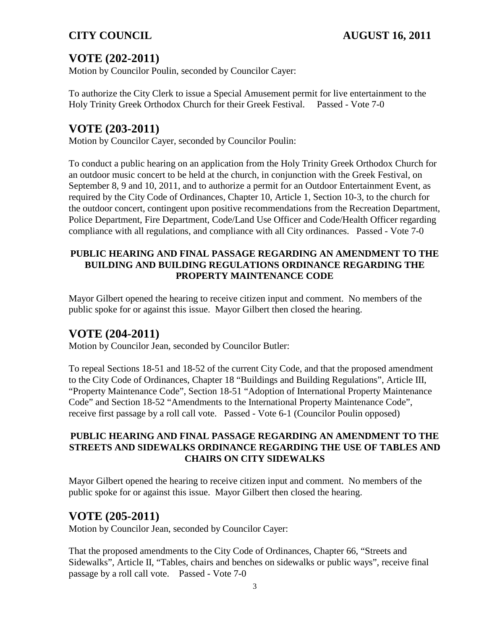# **VOTE (202-2011)**

Motion by Councilor Poulin, seconded by Councilor Cayer:

To authorize the City Clerk to issue a Special Amusement permit for live entertainment to the Holy Trinity Greek Orthodox Church for their Greek Festival. Passed - Vote 7-0

# **VOTE (203-2011)**

Motion by Councilor Cayer, seconded by Councilor Poulin:

To conduct a public hearing on an application from the Holy Trinity Greek Orthodox Church for an outdoor music concert to be held at the church, in conjunction with the Greek Festival, on September 8, 9 and 10, 2011, and to authorize a permit for an Outdoor Entertainment Event, as required by the City Code of Ordinances, Chapter 10, Article 1, Section 10-3, to the church for the outdoor concert, contingent upon positive recommendations from the Recreation Department, Police Department, Fire Department, Code/Land Use Officer and Code/Health Officer regarding compliance with all regulations, and compliance with all City ordinances. Passed - Vote 7-0

### **PUBLIC HEARING AND FINAL PASSAGE REGARDING AN AMENDMENT TO THE BUILDING AND BUILDING REGULATIONS ORDINANCE REGARDING THE PROPERTY MAINTENANCE CODE**

Mayor Gilbert opened the hearing to receive citizen input and comment. No members of the public spoke for or against this issue. Mayor Gilbert then closed the hearing.

# **VOTE (204-2011)**

Motion by Councilor Jean, seconded by Councilor Butler:

To repeal Sections 18-51 and 18-52 of the current City Code, and that the proposed amendment to the City Code of Ordinances, Chapter 18 "Buildings and Building Regulations", Article III, "Property Maintenance Code", Section 18-51 "Adoption of International Property Maintenance Code" and Section 18-52 "Amendments to the International Property Maintenance Code", receive first passage by a roll call vote. Passed - Vote 6-1 (Councilor Poulin opposed)

#### **PUBLIC HEARING AND FINAL PASSAGE REGARDING AN AMENDMENT TO THE STREETS AND SIDEWALKS ORDINANCE REGARDING THE USE OF TABLES AND CHAIRS ON CITY SIDEWALKS**

Mayor Gilbert opened the hearing to receive citizen input and comment. No members of the public spoke for or against this issue. Mayor Gilbert then closed the hearing.

# **VOTE (205-2011)**

Motion by Councilor Jean, seconded by Councilor Cayer:

That the proposed amendments to the City Code of Ordinances, Chapter 66, "Streets and Sidewalks", Article II, "Tables, chairs and benches on sidewalks or public ways", receive final passage by a roll call vote. Passed - Vote 7-0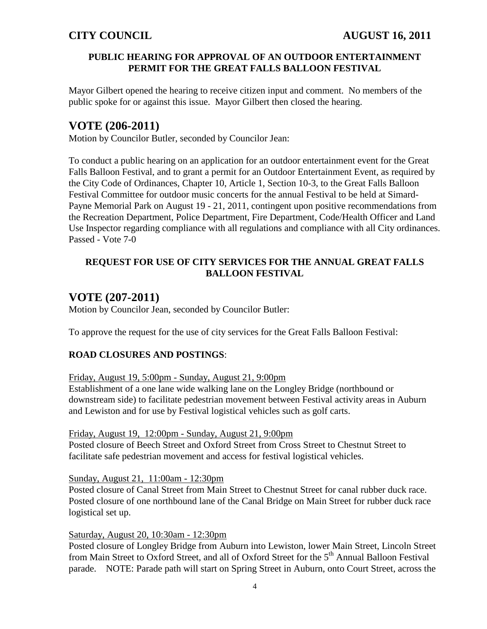#### **PUBLIC HEARING FOR APPROVAL OF AN OUTDOOR ENTERTAINMENT PERMIT FOR THE GREAT FALLS BALLOON FESTIVAL**

Mayor Gilbert opened the hearing to receive citizen input and comment. No members of the public spoke for or against this issue. Mayor Gilbert then closed the hearing.

# **VOTE (206-2011)**

Motion by Councilor Butler, seconded by Councilor Jean:

To conduct a public hearing on an application for an outdoor entertainment event for the Great Falls Balloon Festival, and to grant a permit for an Outdoor Entertainment Event, as required by the City Code of Ordinances, Chapter 10, Article 1, Section 10-3, to the Great Falls Balloon Festival Committee for outdoor music concerts for the annual Festival to be held at Simard-Payne Memorial Park on August 19 - 21, 2011, contingent upon positive recommendations from the Recreation Department, Police Department, Fire Department, Code/Health Officer and Land Use Inspector regarding compliance with all regulations and compliance with all City ordinances. Passed - Vote 7-0

### **REQUEST FOR USE OF CITY SERVICES FOR THE ANNUAL GREAT FALLS BALLOON FESTIVAL**

# **VOTE (207-2011)**

Motion by Councilor Jean, seconded by Councilor Butler:

To approve the request for the use of city services for the Great Falls Balloon Festival:

#### **ROAD CLOSURES AND POSTINGS**:

#### Friday, August 19, 5:00pm - Sunday, August 21, 9:00pm

Establishment of a one lane wide walking lane on the Longley Bridge (northbound or downstream side) to facilitate pedestrian movement between Festival activity areas in Auburn and Lewiston and for use by Festival logistical vehicles such as golf carts.

#### Friday, August 19, 12:00pm - Sunday, August 21, 9:00pm

Posted closure of Beech Street and Oxford Street from Cross Street to Chestnut Street to facilitate safe pedestrian movement and access for festival logistical vehicles.

#### Sunday, August 21, 11:00am - 12:30pm

Posted closure of Canal Street from Main Street to Chestnut Street for canal rubber duck race. Posted closure of one northbound lane of the Canal Bridge on Main Street for rubber duck race logistical set up.

#### Saturday, August 20, 10:30am - 12:30pm

Posted closure of Longley Bridge from Auburn into Lewiston, lower Main Street, Lincoln Street from Main Street to Oxford Street, and all of Oxford Street for the 5<sup>th</sup> Annual Balloon Festival parade. NOTE: Parade path will start on Spring Street in Auburn, onto Court Street, across the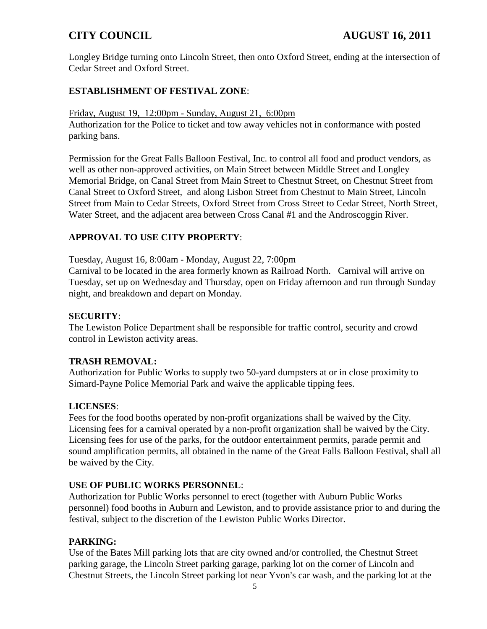Longley Bridge turning onto Lincoln Street, then onto Oxford Street, ending at the intersection of Cedar Street and Oxford Street.

### **ESTABLISHMENT OF FESTIVAL ZONE**:

Friday, August 19, 12:00pm - Sunday, August 21, 6:00pm

Authorization for the Police to ticket and tow away vehicles not in conformance with posted parking bans.

Permission for the Great Falls Balloon Festival, Inc. to control all food and product vendors, as well as other non-approved activities, on Main Street between Middle Street and Longley Memorial Bridge, on Canal Street from Main Street to Chestnut Street, on Chestnut Street from Canal Street to Oxford Street, and along Lisbon Street from Chestnut to Main Street, Lincoln Street from Main to Cedar Streets, Oxford Street from Cross Street to Cedar Street, North Street, Water Street, and the adjacent area between Cross Canal #1 and the Androscoggin River.

### **APPROVAL TO USE CITY PROPERTY**:

Tuesday, August 16, 8:00am - Monday, August 22, 7:00pm

Carnival to be located in the area formerly known as Railroad North. Carnival will arrive on Tuesday, set up on Wednesday and Thursday, open on Friday afternoon and run through Sunday night, and breakdown and depart on Monday.

#### **SECURITY**:

The Lewiston Police Department shall be responsible for traffic control, security and crowd control in Lewiston activity areas.

#### **TRASH REMOVAL:**

Authorization for Public Works to supply two 50-yard dumpsters at or in close proximity to Simard-Payne Police Memorial Park and waive the applicable tipping fees.

#### **LICENSES**:

Fees for the food booths operated by non-profit organizations shall be waived by the City. Licensing fees for a carnival operated by a non-profit organization shall be waived by the City. Licensing fees for use of the parks, for the outdoor entertainment permits, parade permit and sound amplification permits, all obtained in the name of the Great Falls Balloon Festival, shall all be waived by the City.

#### **USE OF PUBLIC WORKS PERSONNEL**:

Authorization for Public Works personnel to erect (together with Auburn Public Works personnel) food booths in Auburn and Lewiston, and to provide assistance prior to and during the festival, subject to the discretion of the Lewiston Public Works Director.

#### **PARKING:**

Use of the Bates Mill parking lots that are city owned and/or controlled, the Chestnut Street parking garage, the Lincoln Street parking garage, parking lot on the corner of Lincoln and Chestnut Streets, the Lincoln Street parking lot near Yvon's car wash, and the parking lot at the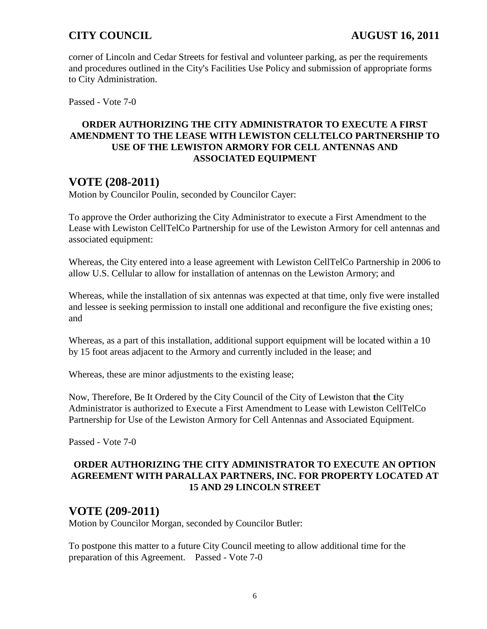corner of Lincoln and Cedar Streets for festival and volunteer parking, as per the requirements and procedures outlined in the City's Facilities Use Policy and submission of appropriate forms to City Administration.

Passed - Vote 7-0

#### **ORDER AUTHORIZING THE CITY ADMINISTRATOR TO EXECUTE A FIRST AMENDMENT TO THE LEASE WITH LEWISTON CELLTELCO PARTNERSHIP TO USE OF THE LEWISTON ARMORY FOR CELL ANTENNAS AND ASSOCIATED EQUIPMENT**

# **VOTE (208-2011)**

Motion by Councilor Poulin, seconded by Councilor Cayer:

To approve the Order authorizing the City Administrator to execute a First Amendment to the Lease with Lewiston CellTelCo Partnership for use of the Lewiston Armory for cell antennas and associated equipment:

Whereas, the City entered into a lease agreement with Lewiston CellTelCo Partnership in 2006 to allow U.S. Cellular to allow for installation of antennas on the Lewiston Armory; and

Whereas, while the installation of six antennas was expected at that time, only five were installed and lessee is seeking permission to install one additional and reconfigure the five existing ones; and

Whereas, as a part of this installation, additional support equipment will be located within a 10 by 15 foot areas adjacent to the Armory and currently included in the lease; and

Whereas, these are minor adjustments to the existing lease;

Now, Therefore, Be It Ordered by the City Council of the City of Lewiston that **t**he City Administrator is authorized to Execute a First Amendment to Lease with Lewiston CellTelCo Partnership for Use of the Lewiston Armory for Cell Antennas and Associated Equipment.

Passed - Vote 7-0

### **ORDER AUTHORIZING THE CITY ADMINISTRATOR TO EXECUTE AN OPTION AGREEMENT WITH PARALLAX PARTNERS, INC. FOR PROPERTY LOCATED AT 15 AND 29 LINCOLN STREET**

## **VOTE (209-2011)**

Motion by Councilor Morgan, seconded by Councilor Butler:

To postpone this matter to a future City Council meeting to allow additional time for the preparation of this Agreement. Passed - Vote 7-0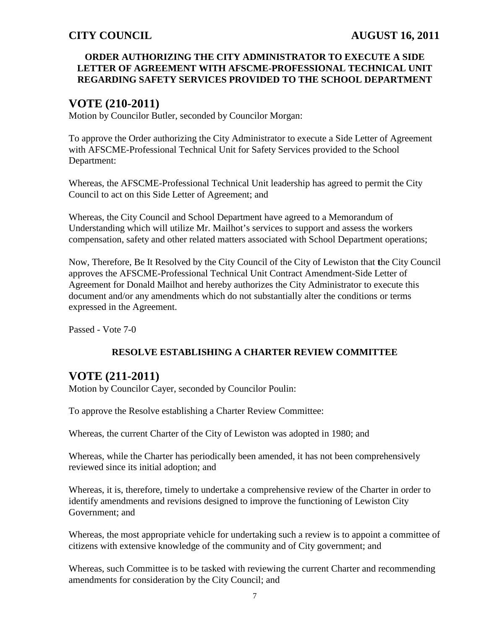#### **ORDER AUTHORIZING THE CITY ADMINISTRATOR TO EXECUTE A SIDE LETTER OF AGREEMENT WITH AFSCME-PROFESSIONAL TECHNICAL UNIT REGARDING SAFETY SERVICES PROVIDED TO THE SCHOOL DEPARTMENT**

# **VOTE (210-2011)**

Motion by Councilor Butler, seconded by Councilor Morgan:

To approve the Order authorizing the City Administrator to execute a Side Letter of Agreement with AFSCME-Professional Technical Unit for Safety Services provided to the School Department:

Whereas, the AFSCME-Professional Technical Unit leadership has agreed to permit the City Council to act on this Side Letter of Agreement; and

Whereas, the City Council and School Department have agreed to a Memorandum of Understanding which will utilize Mr. Mailhot's services to support and assess the workers compensation, safety and other related matters associated with School Department operations;

Now, Therefore, Be It Resolved by the City Council of the City of Lewiston that **t**he City Council approves the AFSCME-Professional Technical Unit Contract Amendment-Side Letter of Agreement for Donald Mailhot and hereby authorizes the City Administrator to execute this document and/or any amendments which do not substantially alter the conditions or terms expressed in the Agreement.

Passed - Vote 7-0

### **RESOLVE ESTABLISHING A CHARTER REVIEW COMMITTEE**

# **VOTE (211-2011)**

Motion by Councilor Cayer, seconded by Councilor Poulin:

To approve the Resolve establishing a Charter Review Committee:

Whereas, the current Charter of the City of Lewiston was adopted in 1980; and

Whereas, while the Charter has periodically been amended, it has not been comprehensively reviewed since its initial adoption; and

Whereas, it is, therefore, timely to undertake a comprehensive review of the Charter in order to identify amendments and revisions designed to improve the functioning of Lewiston City Government; and

Whereas, the most appropriate vehicle for undertaking such a review is to appoint a committee of citizens with extensive knowledge of the community and of City government; and

Whereas, such Committee is to be tasked with reviewing the current Charter and recommending amendments for consideration by the City Council; and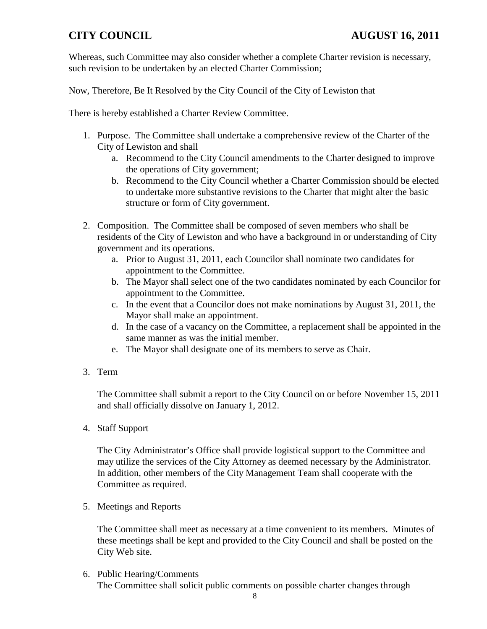Whereas, such Committee may also consider whether a complete Charter revision is necessary, such revision to be undertaken by an elected Charter Commission;

Now, Therefore, Be It Resolved by the City Council of the City of Lewiston that

There is hereby established a Charter Review Committee.

- 1. Purpose. The Committee shall undertake a comprehensive review of the Charter of the City of Lewiston and shall
	- a. Recommend to the City Council amendments to the Charter designed to improve the operations of City government;
	- b. Recommend to the City Council whether a Charter Commission should be elected to undertake more substantive revisions to the Charter that might alter the basic structure or form of City government.
- 2. Composition. The Committee shall be composed of seven members who shall be residents of the City of Lewiston and who have a background in or understanding of City government and its operations.
	- a. Prior to August 31, 2011, each Councilor shall nominate two candidates for appointment to the Committee.
	- b. The Mayor shall select one of the two candidates nominated by each Councilor for appointment to the Committee.
	- c. In the event that a Councilor does not make nominations by August 31, 2011, the Mayor shall make an appointment.
	- d. In the case of a vacancy on the Committee, a replacement shall be appointed in the same manner as was the initial member.
	- e. The Mayor shall designate one of its members to serve as Chair.
- 3. Term

The Committee shall submit a report to the City Council on or before November 15, 2011 and shall officially dissolve on January 1, 2012.

4. Staff Support

The City Administrator's Office shall provide logistical support to the Committee and may utilize the services of the City Attorney as deemed necessary by the Administrator. In addition, other members of the City Management Team shall cooperate with the Committee as required.

5. Meetings and Reports

The Committee shall meet as necessary at a time convenient to its members. Minutes of these meetings shall be kept and provided to the City Council and shall be posted on the City Web site.

6. Public Hearing/Comments The Committee shall solicit public comments on possible charter changes through